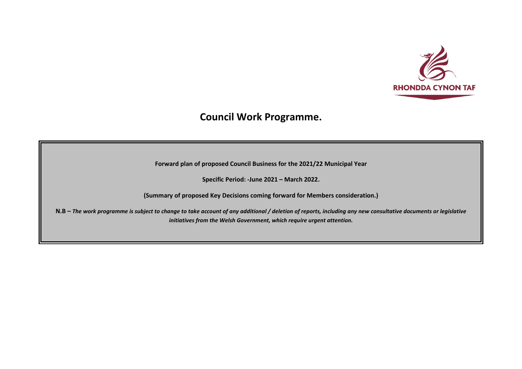

## **Council Work Programme.**

**Forward plan of proposed Council Business for the 2021/22 Municipal Year**

**Specific Period: -June 2021 – March 2022.**

**(Summary of proposed Key Decisions coming forward for Members consideration.)**

**N.B –** *The work programme is subject to change to take account of any additional / deletion of reports, including any new consultative documents or legislative initiatives from the Welsh Government, which require urgent attention.*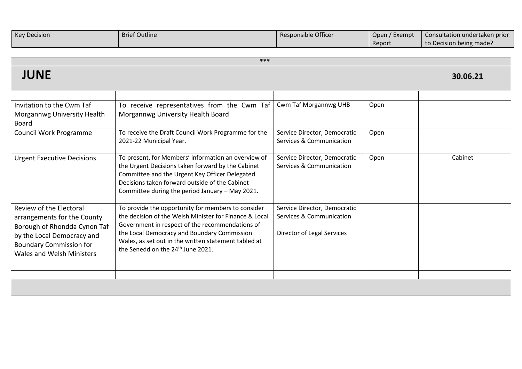| <b>Key Decision</b> | <b>Brief Outline</b> | Responsible Officer | Open / Exempt | Consultation undertaken prior |
|---------------------|----------------------|---------------------|---------------|-------------------------------|
|                     |                      |                     | Report        | to Decision being made?       |

| ***                                                                                                                                                                                        |                                                                                                                                                                                                                                                                                                                         |                                                                                        |      |          |
|--------------------------------------------------------------------------------------------------------------------------------------------------------------------------------------------|-------------------------------------------------------------------------------------------------------------------------------------------------------------------------------------------------------------------------------------------------------------------------------------------------------------------------|----------------------------------------------------------------------------------------|------|----------|
| <b>JUNE</b>                                                                                                                                                                                |                                                                                                                                                                                                                                                                                                                         |                                                                                        |      | 30.06.21 |
| Invitation to the Cwm Taf<br>Morgannwg University Health<br><b>Board</b>                                                                                                                   | To receive representatives from the Cwm Taf<br>Morgannwg University Health Board                                                                                                                                                                                                                                        | <b>Cwm Taf Morgannwg UHB</b>                                                           | Open |          |
| <b>Council Work Programme</b>                                                                                                                                                              | To receive the Draft Council Work Programme for the<br>2021-22 Municipal Year.                                                                                                                                                                                                                                          | Service Director, Democratic<br>Services & Communication                               | Open |          |
| <b>Urgent Executive Decisions</b>                                                                                                                                                          | To present, for Members' information an overview of<br>the Urgent Decisions taken forward by the Cabinet<br>Committee and the Urgent Key Officer Delegated<br>Decisions taken forward outside of the Cabinet<br>Committee during the period January - May 2021.                                                         | Service Director, Democratic<br>Services & Communication                               | Open | Cabinet  |
| Review of the Electoral<br>arrangements for the County<br>Borough of Rhondda Cynon Taf<br>by the Local Democracy and<br><b>Boundary Commission for</b><br><b>Wales and Welsh Ministers</b> | To provide the opportunity for members to consider<br>the decision of the Welsh Minister for Finance & Local<br>Government in respect of the recommendations of<br>the Local Democracy and Boundary Commission<br>Wales, as set out in the written statement tabled at<br>the Senedd on the 24 <sup>th</sup> June 2021. | Service Director, Democratic<br>Services & Communication<br>Director of Legal Services |      |          |
|                                                                                                                                                                                            |                                                                                                                                                                                                                                                                                                                         |                                                                                        |      |          |
|                                                                                                                                                                                            |                                                                                                                                                                                                                                                                                                                         |                                                                                        |      |          |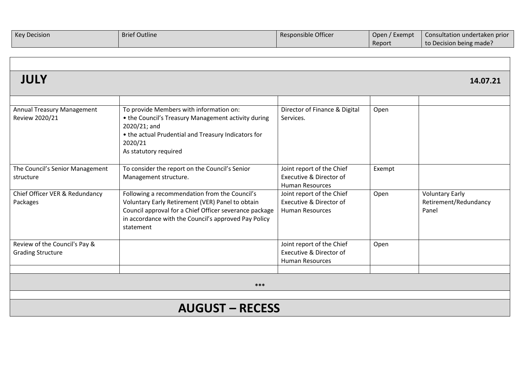| <b>Key Decision</b> | <b>Brief Outline</b> | <b>Responsible Officer</b> | Open / Exempt | <b>Consultation undertaken prior</b> |
|---------------------|----------------------|----------------------------|---------------|--------------------------------------|
|                     |                      |                            | Report        | to Decision being made?              |

| III <sub>1</sub> |          |
|------------------|----------|
|                  | 14.07.21 |
| JULI             |          |

| <b>Annual Treasury Management</b><br>Review 2020/21       | To provide Members with information on:<br>• the Council's Treasury Management activity during<br>2020/21; and<br>• the actual Prudential and Treasury Indicators for<br>2020/21<br>As statutory required                        | Director of Finance & Digital<br>Services.                                     | Open   |                                                          |
|-----------------------------------------------------------|----------------------------------------------------------------------------------------------------------------------------------------------------------------------------------------------------------------------------------|--------------------------------------------------------------------------------|--------|----------------------------------------------------------|
| The Council's Senior Management<br>structure              | To consider the report on the Council's Senior<br>Management structure.                                                                                                                                                          | Joint report of the Chief<br>Executive & Director of<br><b>Human Resources</b> | Exempt |                                                          |
| Chief Officer VER & Redundancy<br>Packages                | Following a recommendation from the Council's<br>Voluntary Early Retirement (VER) Panel to obtain<br>Council approval for a Chief Officer severance package<br>in accordance with the Council's approved Pay Policy<br>statement | Joint report of the Chief<br>Executive & Director of<br><b>Human Resources</b> | Open   | <b>Voluntary Early</b><br>Retirement/Redundancy<br>Panel |
| Review of the Council's Pay &<br><b>Grading Structure</b> |                                                                                                                                                                                                                                  | Joint report of the Chief<br>Executive & Director of<br><b>Human Resources</b> | Open   |                                                          |
|                                                           |                                                                                                                                                                                                                                  |                                                                                |        |                                                          |
| $***$                                                     |                                                                                                                                                                                                                                  |                                                                                |        |                                                          |
|                                                           |                                                                                                                                                                                                                                  |                                                                                |        |                                                          |
| A I I A I I A                                             |                                                                                                                                                                                                                                  |                                                                                |        |                                                          |

## **AUGUST – RECESS**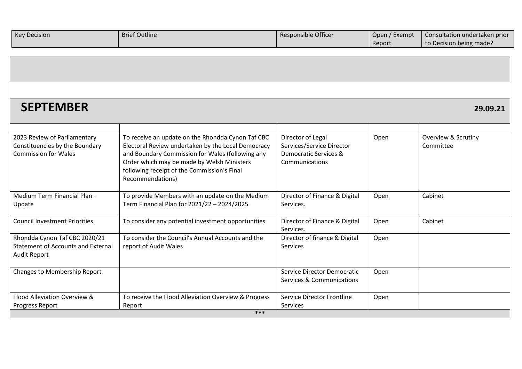| <b>Key Decision</b> | <b>Brief Outline</b> | Responsible Officer | Open / Exempt | Consultation undertaken prior |
|---------------------|----------------------|---------------------|---------------|-------------------------------|
|                     |                      |                     | Report        | to Decision being made?       |

┍

| <b>SEPTEMBER</b>                                                                                  |                                                                                                                                                                                                                                                                              |                                                                                           |      | 29.09.21                                    |
|---------------------------------------------------------------------------------------------------|------------------------------------------------------------------------------------------------------------------------------------------------------------------------------------------------------------------------------------------------------------------------------|-------------------------------------------------------------------------------------------|------|---------------------------------------------|
| 2023 Review of Parliamentary<br>Constituencies by the Boundary<br><b>Commission for Wales</b>     | To receive an update on the Rhondda Cynon Taf CBC<br>Electoral Review undertaken by the Local Democracy<br>and Boundary Commission for Wales (following any<br>Order which may be made by Welsh Ministers<br>following receipt of the Commission's Final<br>Recommendations) | Director of Legal<br>Services/Service Director<br>Democratic Services &<br>Communications | Open | <b>Overview &amp; Scrutiny</b><br>Committee |
| Medium Term Financial Plan -<br>Update                                                            | To provide Members with an update on the Medium<br>Term Financial Plan for 2021/22 - 2024/2025                                                                                                                                                                               | Director of Finance & Digital<br>Services.                                                | Open | Cabinet                                     |
| <b>Council Investment Priorities</b>                                                              | To consider any potential investment opportunities                                                                                                                                                                                                                           | Director of Finance & Digital<br>Services.                                                | Open | Cabinet                                     |
| Rhondda Cynon Taf CBC 2020/21<br><b>Statement of Accounts and External</b><br><b>Audit Report</b> | To consider the Council's Annual Accounts and the<br>report of Audit Wales                                                                                                                                                                                                   | Director of finance & Digital<br>Services                                                 | Open |                                             |
| Changes to Membership Report                                                                      |                                                                                                                                                                                                                                                                              | Service Director Democratic<br>Services & Communications                                  | Open |                                             |
| Flood Alleviation Overview &<br>Progress Report                                                   | To receive the Flood Alleviation Overview & Progress<br>Report                                                                                                                                                                                                               | Service Director Frontline<br><b>Services</b>                                             | Open |                                             |
| ***                                                                                               |                                                                                                                                                                                                                                                                              |                                                                                           |      |                                             |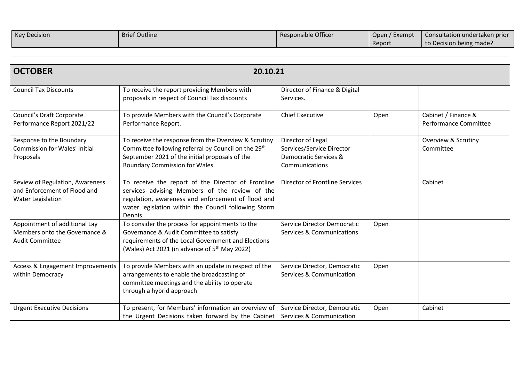| <b>Key Decision</b> | <b>Brief Outline</b> | Responsible Officer | Open / Exempt | $\sqrt{2}$ Consultation undertaken prior |
|---------------------|----------------------|---------------------|---------------|------------------------------------------|
|                     |                      |                     | Report        | to Decision being made?                  |

| <b>OCTOBER</b>                                                                           | 20.10.21                                                                                                                                                                                                                      |                                                                                           |      |                                              |
|------------------------------------------------------------------------------------------|-------------------------------------------------------------------------------------------------------------------------------------------------------------------------------------------------------------------------------|-------------------------------------------------------------------------------------------|------|----------------------------------------------|
| <b>Council Tax Discounts</b>                                                             | To receive the report providing Members with<br>proposals in respect of Council Tax discounts                                                                                                                                 | Director of Finance & Digital<br>Services.                                                |      |                                              |
| Council's Draft Corporate<br>Performance Report 2021/22                                  | To provide Members with the Council's Corporate<br>Performance Report.                                                                                                                                                        | <b>Chief Executive</b>                                                                    | Open | Cabinet / Finance &<br>Performance Committee |
| Response to the Boundary<br><b>Commission for Wales' Initial</b><br>Proposals            | To receive the response from the Overview & Scrutiny<br>Committee following referral by Council on the 29 <sup>th</sup><br>September 2021 of the initial proposals of the<br>Boundary Commission for Wales.                   | Director of Legal<br>Services/Service Director<br>Democratic Services &<br>Communications |      | <b>Overview &amp; Scrutiny</b><br>Committee  |
| Review of Regulation, Awareness<br>and Enforcement of Flood and<br>Water Legislation     | To receive the report of the Director of Frontline<br>services advising Members of the review of the<br>regulation, awareness and enforcement of flood and<br>water legislation within the Council following Storm<br>Dennis. | Director of Frontline Services                                                            |      | Cabinet                                      |
| Appointment of additional Lay<br>Members onto the Governance &<br><b>Audit Committee</b> | To consider the process for appointments to the<br>Governance & Audit Committee to satisfy<br>requirements of the Local Government and Elections<br>(Wales) Act 2021 (in advance of $5th$ May 2022)                           | <b>Service Director Democratic</b><br><b>Services &amp; Communications</b>                | Open |                                              |
| Access & Engagement Improvements<br>within Democracy                                     | To provide Members with an update in respect of the<br>arrangements to enable the broadcasting of<br>committee meetings and the ability to operate<br>through a hybrid approach                                               | Service Director, Democratic<br>Services & Communication                                  | Open |                                              |
| <b>Urgent Executive Decisions</b>                                                        | To present, for Members' information an overview of<br>the Urgent Decisions taken forward by the Cabinet                                                                                                                      | Service Director, Democratic<br>Services & Communication                                  | Open | Cabinet                                      |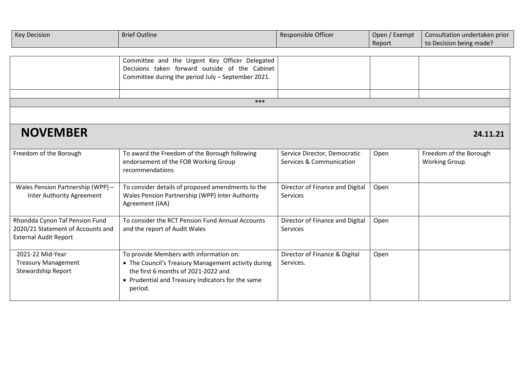| <b>Key Decision</b> | <b>Brief Outline</b> | Responsible Officer | Open / Exempt | Consultation undertaken prior |
|---------------------|----------------------|---------------------|---------------|-------------------------------|
|                     |                      |                     | Report        | to Decision being made?       |

|     | Committee and the Urgent Key Officer Delegated<br>Decisions taken forward outside of the Cabinet<br>Committee during the period July - September 2021. |  |  |  |
|-----|--------------------------------------------------------------------------------------------------------------------------------------------------------|--|--|--|
|     |                                                                                                                                                        |  |  |  |
| *** |                                                                                                                                                        |  |  |  |
|     |                                                                                                                                                        |  |  |  |

## **NOVEMBER 24.11.21**

| Freedom of the Borough            | To award the Freedom of the Borough following       | Service Director, Democratic    | Open | Freedom of the Borough |
|-----------------------------------|-----------------------------------------------------|---------------------------------|------|------------------------|
|                                   | endorsement of the FOB Working Group                | Services & Communication        |      | Working Group.         |
|                                   | recommendations                                     |                                 |      |                        |
|                                   |                                                     |                                 |      |                        |
| Wales Pension Partnership (WPP) - | To consider details of proposed amendments to the   | Director of Finance and Digital | Open |                        |
| Inter Authority Agreement         | Wales Pension Partnership (WPP) Inter Authority     | Services                        |      |                        |
|                                   | Agreement (IAA)                                     |                                 |      |                        |
|                                   |                                                     |                                 |      |                        |
| Rhondda Cynon Taf Pension Fund    | To consider the RCT Pension Fund Annual Accounts    | Director of Finance and Digital | Open |                        |
| 2020/21 Statement of Accounts and | and the report of Audit Wales                       | Services                        |      |                        |
| <b>External Audit Report</b>      |                                                     |                                 |      |                        |
|                                   |                                                     |                                 |      |                        |
| 2021-22 Mid-Year                  | To provide Members with information on:             | Director of Finance & Digital   | Open |                        |
| <b>Treasury Management</b>        | • The Council's Treasury Management activity during | Services.                       |      |                        |
| <b>Stewardship Report</b>         | the first 6 months of 2021-2022 and                 |                                 |      |                        |
|                                   | • Prudential and Treasury Indicators for the same   |                                 |      |                        |
|                                   | period.                                             |                                 |      |                        |
|                                   |                                                     |                                 |      |                        |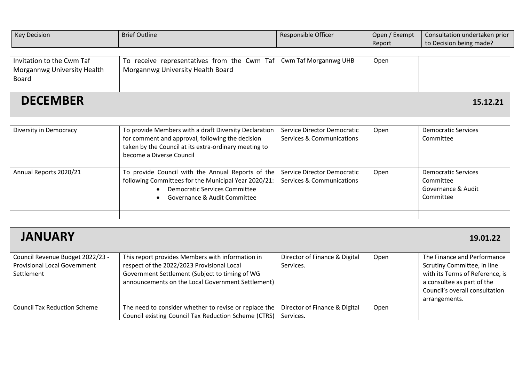| <b>Key Decision</b>                                                                                                          | <b>Brief Outline</b>                                                                                                                                                                                                                                           | Responsible Officer                                                         | Open / Exempt<br>Report | Consultation undertaken prior<br>to Decision being made?                                                                                                                       |  |
|------------------------------------------------------------------------------------------------------------------------------|----------------------------------------------------------------------------------------------------------------------------------------------------------------------------------------------------------------------------------------------------------------|-----------------------------------------------------------------------------|-------------------------|--------------------------------------------------------------------------------------------------------------------------------------------------------------------------------|--|
| Invitation to the Cwm Taf<br>Morgannwg University Health<br><b>Board</b>                                                     | To receive representatives from the Cwm Taf<br>Morgannwg University Health Board                                                                                                                                                                               | <b>Cwm Taf Morgannwg UHB</b>                                                | Open                    |                                                                                                                                                                                |  |
| <b>DECEMBER</b><br>15.12.21                                                                                                  |                                                                                                                                                                                                                                                                |                                                                             |                         |                                                                                                                                                                                |  |
| Diversity in Democracy                                                                                                       | To provide Members with a draft Diversity Declaration<br>for comment and approval, following the decision<br>taken by the Council at its extra-ordinary meeting to<br>become a Diverse Council                                                                 | Service Director Democratic<br><b>Services &amp; Communications</b>         | Open                    | <b>Democratic Services</b><br>Committee                                                                                                                                        |  |
| Annual Reports 2020/21                                                                                                       | To provide Council with the Annual Reports of the<br>following Committees for the Municipal Year 2020/21:<br><b>Democratic Services Committee</b><br>Governance & Audit Committee                                                                              | Service Director Democratic<br><b>Services &amp; Communications</b>         | Open                    | <b>Democratic Services</b><br>Committee<br>Governance & Audit<br>Committee                                                                                                     |  |
|                                                                                                                              |                                                                                                                                                                                                                                                                |                                                                             |                         |                                                                                                                                                                                |  |
| <b>JANUARY</b><br>19.01.22                                                                                                   |                                                                                                                                                                                                                                                                |                                                                             |                         |                                                                                                                                                                                |  |
| Council Revenue Budget 2022/23 -<br><b>Provisional Local Government</b><br>Settlement<br><b>Council Tax Reduction Scheme</b> | This report provides Members with information in<br>respect of the 2022/2023 Provisional Local<br>Government Settlement (Subject to timing of WG<br>announcements on the Local Government Settlement)<br>The need to consider whether to revise or replace the | Director of Finance & Digital<br>Services.<br>Director of Finance & Digital | Open<br>Open            | The Finance and Performance<br>Scrutiny Committee, in line<br>with its Terms of Reference, is<br>a consultee as part of the<br>Council's overall consultation<br>arrangements. |  |
|                                                                                                                              | Council existing Council Tax Reduction Scheme (CTRS)                                                                                                                                                                                                           | Services.                                                                   |                         |                                                                                                                                                                                |  |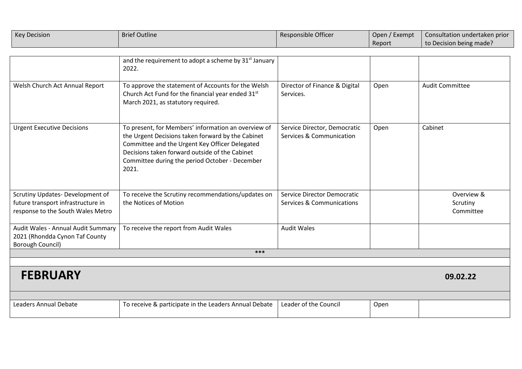| <b>Key Decision</b>                                                                                        | <b>Brief Outline</b>                                                                                                                                                                                                                                                    | Responsible Officer                                                 | Open / Exempt<br>Report | Consultation undertaken prior<br>to Decision being made? |
|------------------------------------------------------------------------------------------------------------|-------------------------------------------------------------------------------------------------------------------------------------------------------------------------------------------------------------------------------------------------------------------------|---------------------------------------------------------------------|-------------------------|----------------------------------------------------------|
|                                                                                                            | and the requirement to adopt a scheme by 31 <sup>st</sup> January<br>2022.                                                                                                                                                                                              |                                                                     |                         |                                                          |
| Welsh Church Act Annual Report                                                                             | To approve the statement of Accounts for the Welsh<br>Church Act Fund for the financial year ended 31st<br>March 2021, as statutory required.                                                                                                                           | Director of Finance & Digital<br>Services.                          | Open                    | <b>Audit Committee</b>                                   |
| <b>Urgent Executive Decisions</b>                                                                          | To present, for Members' information an overview of<br>the Urgent Decisions taken forward by the Cabinet<br>Committee and the Urgent Key Officer Delegated<br>Decisions taken forward outside of the Cabinet<br>Committee during the period October - December<br>2021. | Service Director, Democratic<br>Services & Communication            | Open                    | Cabinet                                                  |
| Scrutiny Updates-Development of<br>future transport infrastructure in<br>response to the South Wales Metro | To receive the Scrutiny recommendations/updates on<br>the Notices of Motion                                                                                                                                                                                             | Service Director Democratic<br><b>Services &amp; Communications</b> |                         | Overview &<br>Scrutiny<br>Committee                      |
| Audit Wales - Annual Audit Summary<br>2021 (Rhondda Cynon Taf County<br>Borough Council)                   | To receive the report from Audit Wales                                                                                                                                                                                                                                  | <b>Audit Wales</b>                                                  |                         |                                                          |
| $***$                                                                                                      |                                                                                                                                                                                                                                                                         |                                                                     |                         |                                                          |
| <b>FEBRUARY</b>                                                                                            |                                                                                                                                                                                                                                                                         |                                                                     |                         | 09.02.22                                                 |
| Leaders Annual Debate                                                                                      | To receive & participate in the Leaders Annual Debate                                                                                                                                                                                                                   | Leader of the Council                                               | Onen                    |                                                          |

| Debate<br>.eadei<br>Annual | 'o receive .<br>rs Annual Debate<br>Leaders<br>a & participate in the ' | Council<br>Leader of the | Open |  |
|----------------------------|-------------------------------------------------------------------------|--------------------------|------|--|
|----------------------------|-------------------------------------------------------------------------|--------------------------|------|--|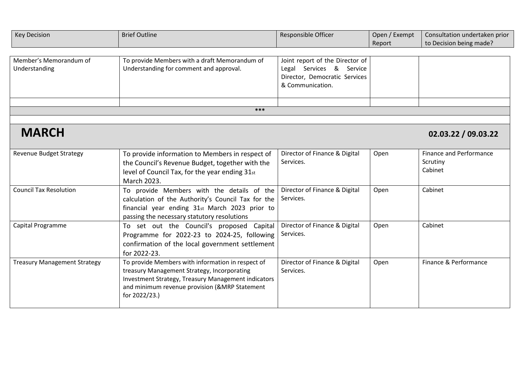| <b>Key Decision</b>                     | <b>Brief Outline</b>                                                                                                                                                                                                      | Responsible Officer                                                                                              | Open / Exempt<br>Report | Consultation undertaken prior<br>to Decision being made? |
|-----------------------------------------|---------------------------------------------------------------------------------------------------------------------------------------------------------------------------------------------------------------------------|------------------------------------------------------------------------------------------------------------------|-------------------------|----------------------------------------------------------|
|                                         |                                                                                                                                                                                                                           |                                                                                                                  |                         |                                                          |
| Member's Memorandum of<br>Understanding | To provide Members with a draft Memorandum of<br>Understanding for comment and approval.                                                                                                                                  | Joint report of the Director of<br>Legal Services & Service<br>Director, Democratic Services<br>& Communication. |                         |                                                          |
|                                         |                                                                                                                                                                                                                           |                                                                                                                  |                         |                                                          |
|                                         | ***                                                                                                                                                                                                                       |                                                                                                                  |                         |                                                          |
|                                         |                                                                                                                                                                                                                           |                                                                                                                  |                         |                                                          |
| <b>MARCH</b>                            |                                                                                                                                                                                                                           |                                                                                                                  |                         | 02.03.22 / 09.03.22                                      |
| <b>Revenue Budget Strategy</b>          | To provide information to Members in respect of<br>the Council's Revenue Budget, together with the<br>level of Council Tax, for the year ending 31st<br>March 2023.                                                       | Director of Finance & Digital<br>Services.                                                                       | Open                    | <b>Finance and Performance</b><br>Scrutiny<br>Cabinet    |
| <b>Council Tax Resolution</b>           | To provide Members with the details of the<br>calculation of the Authority's Council Tax for the<br>financial year ending 31st March 2023 prior to<br>passing the necessary statutory resolutions                         | Director of Finance & Digital<br>Services.                                                                       | Open                    | Cabinet                                                  |
| Capital Programme                       | To set out the Council's proposed Capital<br>Programme for 2022-23 to 2024-25, following<br>confirmation of the local government settlement<br>for 2022-23.                                                               | Director of Finance & Digital<br>Services.                                                                       | Open                    | Cabinet                                                  |
| <b>Treasury Management Strategy</b>     | To provide Members with information in respect of<br>treasury Management Strategy, Incorporating<br>Investment Strategy, Treasury Management indicators<br>and minimum revenue provision (&MRP Statement<br>for 2022/23.) | Director of Finance & Digital<br>Services.                                                                       | Open                    | Finance & Performance                                    |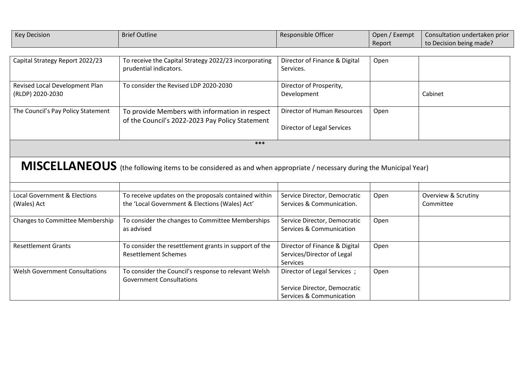| <b>Key Decision</b>                     | <b>Brief Outline</b>                                                                                               | Responsible Officer                                       | Open / Exempt | Consultation undertaken prior               |
|-----------------------------------------|--------------------------------------------------------------------------------------------------------------------|-----------------------------------------------------------|---------------|---------------------------------------------|
|                                         |                                                                                                                    |                                                           | Report        | to Decision being made?                     |
|                                         |                                                                                                                    |                                                           |               |                                             |
| Capital Strategy Report 2022/23         | To receive the Capital Strategy 2022/23 incorporating                                                              | Director of Finance & Digital                             | Open          |                                             |
|                                         | prudential indicators.                                                                                             | Services.                                                 |               |                                             |
| Revised Local Development Plan          | To consider the Revised LDP 2020-2030                                                                              | Director of Prosperity,                                   |               |                                             |
| (RLDP) 2020-2030                        |                                                                                                                    | Development                                               |               | Cabinet                                     |
|                                         |                                                                                                                    |                                                           |               |                                             |
| The Council's Pay Policy Statement      | To provide Members with information in respect                                                                     | Director of Human Resources                               | Open          |                                             |
|                                         | of the Council's 2022-2023 Pay Policy Statement                                                                    |                                                           |               |                                             |
|                                         |                                                                                                                    | Director of Legal Services                                |               |                                             |
|                                         | ***                                                                                                                |                                                           |               |                                             |
|                                         |                                                                                                                    |                                                           |               |                                             |
|                                         |                                                                                                                    |                                                           |               |                                             |
|                                         | MISCELLANEOUS (the following items to be considered as and when appropriate / necessary during the Municipal Year) |                                                           |               |                                             |
|                                         |                                                                                                                    |                                                           |               |                                             |
| <b>Local Government &amp; Elections</b> |                                                                                                                    |                                                           |               |                                             |
| (Wales) Act                             | To receive updates on the proposals contained within<br>the 'Local Government & Elections (Wales) Act'             | Service Director, Democratic<br>Services & Communication. | Open          | <b>Overview &amp; Scrutiny</b><br>Committee |
|                                         |                                                                                                                    |                                                           |               |                                             |
| Changes to Committee Membership         | To consider the changes to Committee Memberships                                                                   | Service Director, Democratic                              | Open          |                                             |
|                                         | as advised                                                                                                         | Services & Communication                                  |               |                                             |
|                                         |                                                                                                                    |                                                           |               |                                             |
| <b>Resettlement Grants</b>              | To consider the resettlement grants in support of the                                                              | Director of Finance & Digital                             | Open          |                                             |
|                                         | <b>Resettlement Schemes</b>                                                                                        | Services/Director of Legal                                |               |                                             |
|                                         |                                                                                                                    | <b>Services</b>                                           |               |                                             |
| <b>Welsh Government Consultations</b>   | To consider the Council's response to relevant Welsh                                                               | Director of Legal Services ;                              | Open          |                                             |
|                                         | <b>Government Consultations</b>                                                                                    |                                                           |               |                                             |
|                                         |                                                                                                                    | Service Director, Democratic                              |               |                                             |
|                                         |                                                                                                                    | Services & Communication                                  |               |                                             |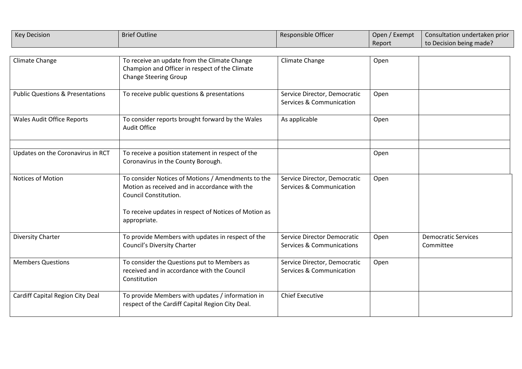| <b>Key Decision</b>                         | <b>Brief Outline</b>                                                                                                                                                                                  | Responsible Officer                                                 | Open / Exempt<br>Report | Consultation undertaken prior<br>to Decision being made? |
|---------------------------------------------|-------------------------------------------------------------------------------------------------------------------------------------------------------------------------------------------------------|---------------------------------------------------------------------|-------------------------|----------------------------------------------------------|
| Climate Change                              | To receive an update from the Climate Change<br>Champion and Officer in respect of the Climate<br><b>Change Steering Group</b>                                                                        | Climate Change                                                      | Open                    |                                                          |
| <b>Public Questions &amp; Presentations</b> | To receive public questions & presentations                                                                                                                                                           | Service Director, Democratic<br><b>Services &amp; Communication</b> | Open                    |                                                          |
| <b>Wales Audit Office Reports</b>           | To consider reports brought forward by the Wales<br>Audit Office                                                                                                                                      | As applicable                                                       | Open                    |                                                          |
| Updates on the Coronavirus in RCT           | To receive a position statement in respect of the<br>Coronavirus in the County Borough.                                                                                                               |                                                                     | Open                    |                                                          |
| Notices of Motion                           | To consider Notices of Motions / Amendments to the<br>Motion as received and in accordance with the<br>Council Constitution.<br>To receive updates in respect of Notices of Motion as<br>appropriate. | Service Director, Democratic<br>Services & Communication            | Open                    |                                                          |
| Diversity Charter                           | To provide Members with updates in respect of the<br>Council's Diversity Charter                                                                                                                      | Service Director Democratic<br><b>Services &amp; Communications</b> | Open                    | <b>Democratic Services</b><br>Committee                  |
| <b>Members Questions</b>                    | To consider the Questions put to Members as<br>received and in accordance with the Council<br>Constitution                                                                                            | Service Director, Democratic<br>Services & Communication            | Open                    |                                                          |
| Cardiff Capital Region City Deal            | To provide Members with updates / information in<br>respect of the Cardiff Capital Region City Deal.                                                                                                  | <b>Chief Executive</b>                                              |                         |                                                          |